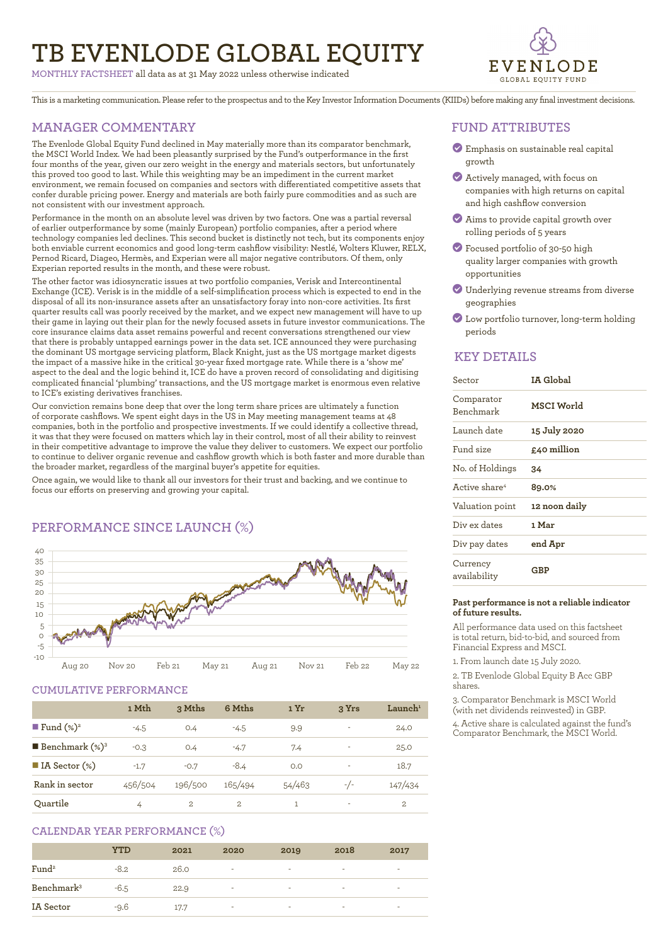# **TB EVENLODE GLOBAL EQUITY**

**MONTHLY FACTSHEET** all data as at 31 May 2022 unless otherwise indicated



This is a marketing communication. Please refer to the prospectus and to the Key Investor Information Documents (KIIDs) before making any final investment decisions.

# **MANAGER COMMENTARY**

The Evenlode Global Equity Fund declined in May materially more than its comparator benchmark, the MSCI World Index. We had been pleasantly surprised by the Fund's outperformance in the first four months of the year, given our zero weight in the energy and materials sectors, but unfortunately this proved too good to last. While this weighting may be an impediment in the current market environment, we remain focused on companies and sectors with differentiated competitive assets that confer durable pricing power. Energy and materials are both fairly pure commodities and as such are not consistent with our investment approach.

Performance in the month on an absolute level was driven by two factors. One was a partial reversal of earlier outperformance by some (mainly European) portfolio companies, after a period where technology companies led declines. This second bucket is distinctly not tech, but its components enjoy both enviable current economics and good long-term cashflow visibility: Nestlé, Wolters Kluwer, RELX, Pernod Ricard, Diageo, Hermès, and Experian were all major negative contributors. Of them, only Experian reported results in the month, and these were robust.

The other factor was idiosyncratic issues at two portfolio companies, Verisk and Intercontinental Exchange (ICE). Verisk is in the middle of a self-simplification process which is expected to end in the disposal of all its non-insurance assets after an unsatisfactory foray into non-core activities. Its first quarter results call was poorly received by the market, and we expect new management will have to up their game in laying out their plan for the newly focused assets in future investor communications. The core insurance claims data asset remains powerful and recent conversations strengthened our view that there is probably untapped earnings power in the data set. ICE announced they were purchasing the dominant US mortgage servicing platform, Black Knight, just as the US mortgage market digests the impact of a massive hike in the critical 30-year fixed mortgage rate. While there is a 'show me' aspect to the deal and the logic behind it, ICE do have a proven record of consolidating and digitising complicated financial 'plumbing' transactions, and the US mortgage market is enormous even relative to ICE's existing derivatives franchises.

Our conviction remains bone deep that over the long term share prices are ultimately a function of corporate cashflows. We spent eight days in the US in May meeting management teams at 48 companies, both in the portfolio and prospective investments. If we could identify a collective thread, it was that they were focused on matters which lay in their control, most of all their ability to reinvest in their competitive advantage to improve the value they deliver to customers. We expect our portfolio to continue to deliver organic revenue and cashflow growth which is both faster and more durable than the broader market, regardless of the marginal buyer's appetite for equities.

Once again, we would like to thank all our investors for their trust and backing, and we continue to focus our efforts on preserving and growing your capital.



# **PERFORMANCE SINCE LAUNCH (%)**

# **CUMULATIVE PERFORMANCE**

|                                 | 1 Mth   | 3 Mths         | 6 Mths  | 1 Yr   | 3 Yrs | $\mathbf{L}$ aunch $^1$ |
|---------------------------------|---------|----------------|---------|--------|-------|-------------------------|
| ■ Fund $(\%)^2$                 | $-4.5$  | O.4            | $-4.5$  | 9.9    | ۰     | 24.0                    |
| <b>Benchmark</b> $(\%)^3$       | $-0.3$  | O.4            | $-4.7$  | 7.4    | ۰     | 25.0                    |
| $\blacksquare$ IA Sector $(\%)$ | $-1.7$  | $-0.7$         | $-8.4$  | O.O    |       | 18.7                    |
| Rank in sector                  | 456/504 | 196/500        | 165/494 | 54/463 | $-/-$ | 147/434                 |
| Ouartile                        | 4       | $\overline{2}$ | 2.      |        | ٠     | 2.                      |

## **CALENDAR YEAR PERFORMANCE (%)**

|                        | <b>YTD</b> | 2021 | 2020 | 2019                     | 2018                     | 2017                     |
|------------------------|------------|------|------|--------------------------|--------------------------|--------------------------|
| Fund <sup>2</sup>      | $-8.2$     | 26.0 | ٠    | $\overline{\phantom{a}}$ | $\overline{\phantom{a}}$ | $\overline{\phantom{a}}$ |
| Benchmark <sup>3</sup> | $-6.5$     | 22.9 | ٠    | $\sim$                   | $\sim$                   | $\overline{\phantom{a}}$ |
| IA Sector              | $-9.6$     | 17.7 | ٠    | $\overline{\phantom{a}}$ | $\overline{\phantom{a}}$ | $\overline{\phantom{a}}$ |

## **FUND ATTRIBUTES**

- ? Emphasis on sustainable real capital growth
- ? Actively managed, with focus on companies with high returns on capital and high cashflow conversion
- ? Aims to provide capital growth over rolling periods of 5 years
- ? Focused portfolio of 30-50 high quality larger companies with growth opportunities
- ? Underlying revenue streams from diverse geographies
- ? Low portfolio turnover, long-term holding periods

### **KEY DETAILS**

| Sector                    | IA Global     |
|---------------------------|---------------|
| Comparator<br>Benchmark   | MSCI World    |
| Launch date               | 15 July 2020  |
| Fund size                 | £40 million   |
| No. of Holdings           | 34            |
| Active share <sup>4</sup> | 89.0%         |
| Valuation point           | 12 noon daily |
| Div ex dates              | 1 Mar         |
| Div pay dates             | end Apr       |
| Currency<br>availability  | GBP           |

#### **Past performance is not a reliable indicator of future results.**

All performance data used on this factsheet is total return, bid-to-bid, and sourced from Financial Express and MSCI.

1. From launch date 15 July 2020.

2. TB Evenlode Global Equity B Acc GBP shares.

3. Comparator Benchmark is MSCI World (with net dividends reinvested) in GBP.

4. Active share is calculated against the fund's Comparator Benchmark, the MSCI World.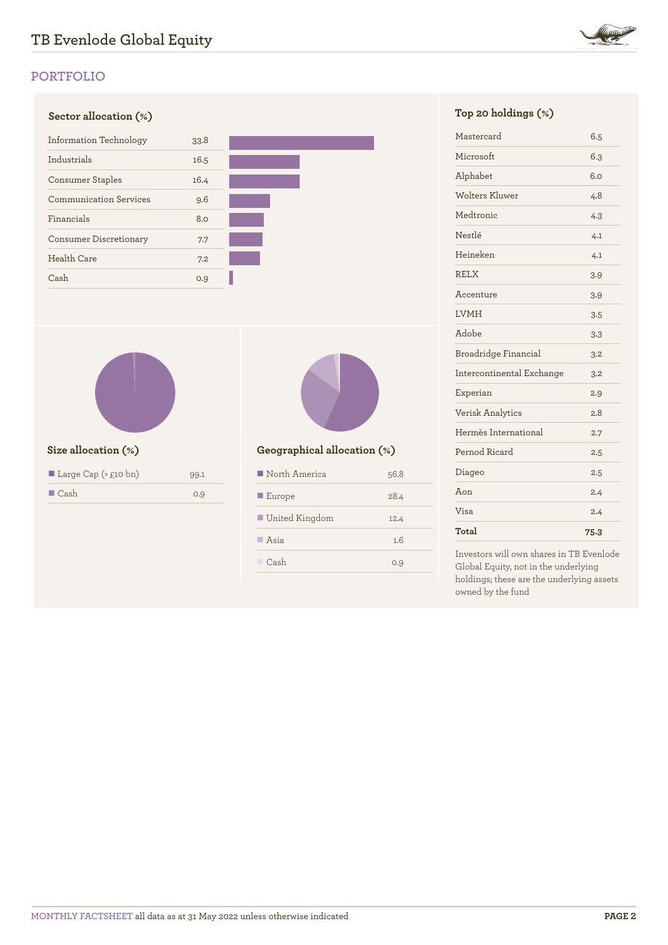

# **Sector allocation (%) Top 20 holdings (%)** Information Technology 33.8 Industrials 16.5 Consumer Staples 16.4 Communication Services 9.6 Financials 8.0 Consumer Discretionary 7.7 Health Care 7.2 Cash 0.9



| Large Cap ( $\geq$ £10 bn) | 99.1 |
|----------------------------|------|
| $\blacksquare$ Cash        | 0.9  |



# **Size allocation (%) Geographical allocation (%)**

| North America         | 56.8 |
|-----------------------|------|
| $\blacksquare$ Europe | 28.4 |
| United Kingdom        | 12.4 |
| $\blacksquare$ Asia   | 1.6  |
| Cash                  | 0.9  |

| Mastercard                | 6.5  |
|---------------------------|------|
| Microsoft                 | 6.3  |
| Alphabet                  | 6.0  |
| Wolters Kluwer            | 4.8  |
| Medtronic                 | 4.3  |
| Nestlé                    | 4.1  |
| Heineken                  | 4.1  |
| <b>RELX</b>               | 3.9  |
| Accenture                 | 3.9  |
| <b>LVMH</b>               | 3.5  |
| Adobe                     | 3.3  |
| Broadridge Financial      | 3.2  |
| Intercontinental Exchange | 3.2  |
| Experian                  | 2.9  |
| Verisk Analytics          | 2.8  |
| Hermès International      | 2.7  |
| Pernod Ricard             | 2.5  |
| Diageo                    | 2.5  |
| Aon                       | 2.4  |
| Visa                      | 2.4  |
| Total                     | 75.3 |

Investors will own shares in TB Evenlode Global Equity, not in the underlying holdings; these are the underlying assets owned by the fund

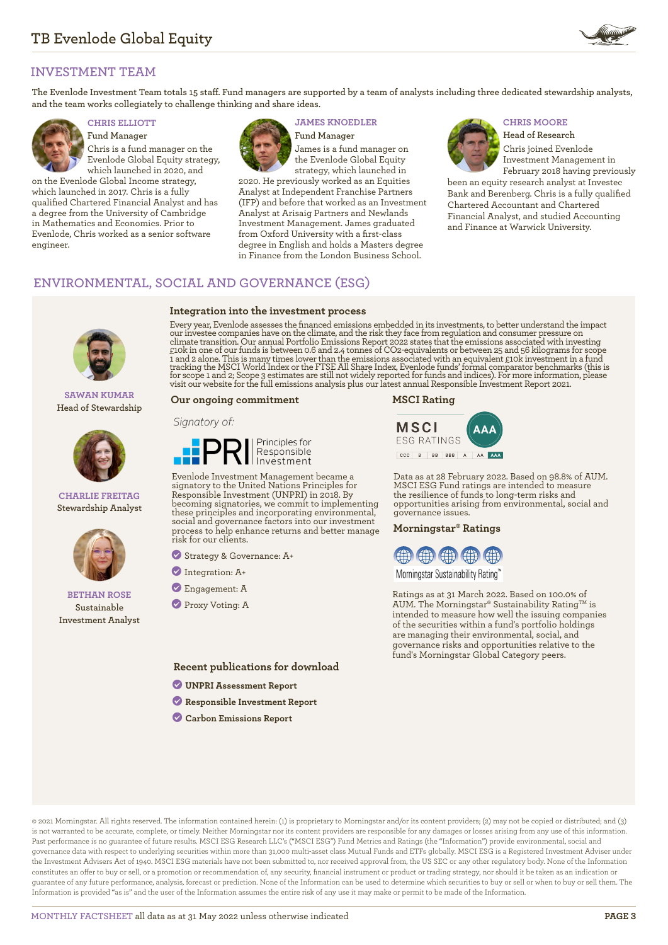

# **INVESTMENT TEAM**

**The Evenlode Investment Team totals 15 staff. Fund managers are supported by a team of analysts including three dedicated stewardship analysts, and the team works collegiately to challenge thinking and share ideas.**



**Fund Manager** Chris is a fund manager on the Evenlode Global Equity strategy, which launched in 2020, and

on the Evenlode Global Income strategy, which launched in 2017. Chris is a fully qualified Chartered Financial Analyst and has a degree from the University of Cambridge in Mathematics and Economics. Prior to Evenlode, Chris worked as a senior software engineer.



**Integration into the investment process**

## **CHRIS ELLIOTT JAMES KNOEDLER CHRIS MOORE**

**Fund Manager** James is a fund manager on the Evenlode Global Equity strategy, which launched in

2020. He previously worked as an Equities Analyst at Independent Franchise Partners (IFP) and before that worked as an Investment Analyst at Arisaig Partners and Newlands Investment Management. James graduated from Oxford University with a first-class degree in English and holds a Masters degree in Finance from the London Business School.



**Head of Research** Chris joined Evenlode Investment Management in

February 2018 having previously been an equity research analyst at Investec Bank and Berenberg. Chris is a fully qualified Chartered Accountant and Chartered Financial Analyst, and studied Accounting and Finance at Warwick University.

# **ENVIRONMENTAL, SOCIAL AND GOVERNANCE (ESG)**

**SAWAN KUMAR Head of Stewardship**



#### **CHARLIE FREITAG Stewardship Analyst**



### **BETHAN ROSE Sustainable Investment Analyst**

Every year, Evenlode assesses the financed emissions embedded in its investments, to better understand the impact our investee companies have on the climate, and the risk they face from regulation and consumer pressure on climate transition. Our annual Portfolio Emissions Report 2022 states that the emissions associated with investing<br>£10k in one of our funds is between 0.6 and 2.4 tonnes of CO2-equivalents or between 25 and 56 kilograms fo 1 and 2 alone. This is many times lower than the emissions associated with an equivalent £10k investment in a fund<br>tracking the MSCI World Index or the FTSE All Share Index, Evenlode funds' formal comparator benchmarks (th

#### **Our ongoing commitment**

#### Signatory of:



Evenlode Investment Management became a signatory to the United Nations Principles for Responsible Investment (UNPRI) in 2018. By becoming signatories, we commit to implementing these principles and incorporating environmental, social and governance factors into our investment process to help enhance returns and better manage risk for our clients.

? Strategy & Governance: A+

- ? Integration: A+
- ? Engagement: A
- ? Proxy Voting: A

**Recent publications for download**

- ? **[UNPRI Assessment Report](https://evenlodeinvestment.com/resources/stewardship-assets/2020-Assessment-Report.pdf)**
- ? **[Responsible Investment Report](https://evenlodeinvestment.com/resources/stewardship-assets/Evenlode-Investment-Annual-Responsible-Investment-Report-2021.pdf)**
- ? **[Carbon Emissions Report](https://evenlodeinvestment.com/resources/stewardship-assets/Evenlode-Portfolio-Emissions-Report-2022.pdf)**

#### **MSCI Rating**



Data as at 28 February 2022. Based on 98.8% of AUM. MSCI ESG Fund ratings are intended to measure the resilience of funds to long-term risks and opportunities arising from environmental, social and governance issues.

#### **Morningstar® Ratings**



Morningstar Sustainability Rating™

Ratings as at 31 March 2022. Based on 100.0% of AUM. The Morningstar® Sustainability Rating<sup>TM</sup> is intended to measure how well the issuing companies of the securities within a fund's portfolio holdings are managing their environmental, social, and governance risks and opportunities relative to the fund's Morningstar Global Category peers.

© 2021 Morningstar. All rights reserved. The information contained herein: (1) is proprietary to Morningstar and/or its content providers; (2) may not be copied or distributed; and (3) is not warranted to be accurate, complete, or timely. Neither Morningstar nor its content providers are responsible for any damages or losses arising from any use of this information. Past performance is no guarantee of future results. MSCI ESG Research LLC's ("MSCI ESG") Fund Metrics and Ratings (the "Information") provide environmental, social and governance data with respect to underlying securities within more than 31,000 multi-asset class Mutual Funds and ETFs globally. MSCI ESG is a Registered Investment Adviser under the Investment Advisers Act of 1940. MSCI ESG materials have not been submitted to, nor received approval from, the US SEC or any other regulatory body. None of the Information constitutes an offer to buy or sell, or a promotion or recommendation of, any security, financial instrument or product or trading strategy, nor should it be taken as an indication or guarantee of any future performance, analysis, forecast or prediction. None of the Information can be used to determine which securities to buy or sell or when to buy or sell them. The Information is provided "as is" and the user of the Information assumes the entire risk of any use it may make or permit to be made of the Information.